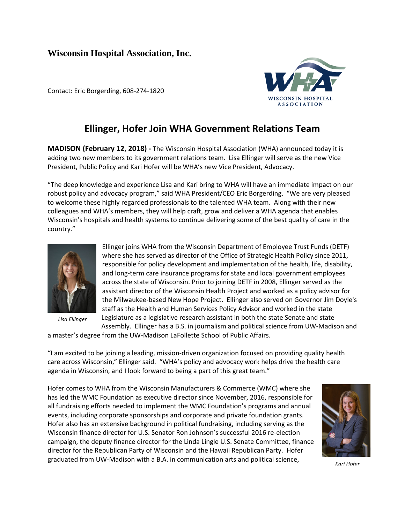## **Wisconsin Hospital Association, Inc.**

Contact: Eric Borgerding, 608-274-1820



## **Ellinger, Hofer Join WHA Government Relations Team**

**MADISON (February 12, 2018) -** The Wisconsin Hospital Association (WHA) announced today it is adding two new members to its government relations team. Lisa Ellinger will serve as the new Vice President, Public Policy and Kari Hofer will be WHA's new Vice President, Advocacy.

"The deep knowledge and experience Lisa and Kari bring to WHA will have an immediate impact on our robust policy and advocacy program," said WHA President/CEO Eric Borgerding. "We are very pleased to welcome these highly regarded professionals to the talented WHA team. Along with their new colleagues and WHA's members, they will help craft, grow and deliver a WHA agenda that enables Wisconsin's hospitals and health systems to continue delivering some of the best quality of care in the country."



*Lisa Ellinger*

Ellinger joins WHA from the Wisconsin Department of Employee Trust Funds (DETF) where she has served as director of the Office of Strategic Health Policy since 2011, responsible for policy development and implementation of the health, life, disability, and long-term care insurance programs for state and local government employees across the state of Wisconsin. Prior to joining DETF in 2008, Ellinger served as the assistant director of the Wisconsin Health Project and worked as a policy advisor for the Milwaukee-based New Hope Project. Ellinger also served on Governor Jim Doyle's staff as the Health and Human Services Policy Advisor and worked in the state Legislature as a legislative research assistant in both the state Senate and state Assembly. Ellinger has a B.S. in journalism and political science from UW-Madison and

a master's degree from the UW-Madison LaFollette School of Public Affairs.

"I am excited to be joining a leading, mission-driven organization focused on providing quality health care across Wisconsin," Ellinger said. "WHA's policy and advocacy work helps drive the health care agenda in Wisconsin, and I look forward to being a part of this great team."

Hofer comes to WHA from the Wisconsin Manufacturers & Commerce (WMC) where she has led the WMC Foundation as executive director since November, 2016, responsible for all fundraising efforts needed to implement the WMC Foundation's programs and annual events, including corporate sponsorships and corporate and private foundation grants. Hofer also has an extensive background in political fundraising, including serving as the Wisconsin finance director for U.S. Senator Ron Johnson's successful 2016 re-election campaign, the deputy finance director for the Linda Lingle U.S. Senate Committee, finance director for the Republican Party of Wisconsin and the Hawaii Republican Party. Hofer graduated from UW-Madison with a B.A. in communication arts and political science,



*Kari Hofer*